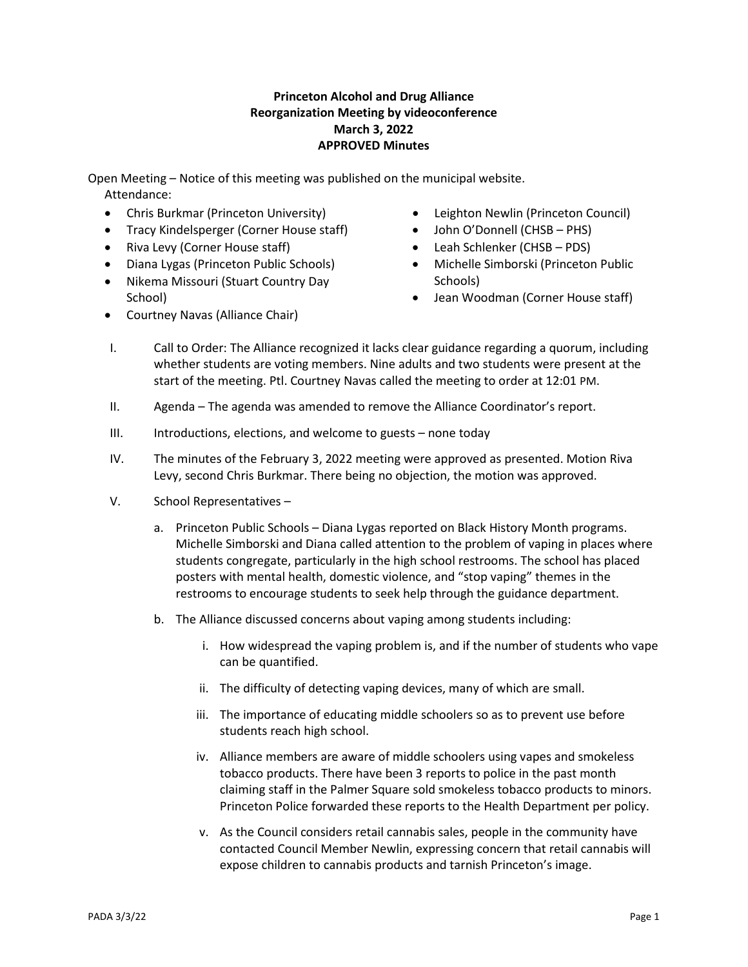## **Princeton Alcohol and Drug Alliance Reorganization Meeting by videoconference March 3, 2022 APPROVED Minutes**

Open Meeting – Notice of this meeting was published on the municipal website. Attendance:

- Chris Burkmar (Princeton University)
- Tracy Kindelsperger (Corner House staff)
- Riva Levy (Corner House staff)
- Diana Lygas (Princeton Public Schools)
- Nikema Missouri (Stuart Country Day School)
- Courtney Navas (Alliance Chair)
- Leighton Newlin (Princeton Council)
- John O'Donnell (CHSB PHS)
- Leah Schlenker (CHSB PDS)
- Michelle Simborski (Princeton Public Schools)
- Jean Woodman (Corner House staff)
- I. Call to Order: The Alliance recognized it lacks clear guidance regarding a quorum, including whether students are voting members. Nine adults and two students were present at the start of the meeting. Ptl. Courtney Navas called the meeting to order at 12:01 PM.
- II. Agenda The agenda was amended to remove the Alliance Coordinator's report.
- III. Introductions, elections, and welcome to guests none today
- IV. The minutes of the February 3, 2022 meeting were approved as presented. Motion Riva Levy, second Chris Burkmar. There being no objection, the motion was approved.
- V. School Representatives
	- a. Princeton Public Schools Diana Lygas reported on Black History Month programs. Michelle Simborski and Diana called attention to the problem of vaping in places where students congregate, particularly in the high school restrooms. The school has placed posters with mental health, domestic violence, and "stop vaping" themes in the restrooms to encourage students to seek help through the guidance department.
	- b. The Alliance discussed concerns about vaping among students including:
		- i. How widespread the vaping problem is, and if the number of students who vape can be quantified.
		- ii. The difficulty of detecting vaping devices, many of which are small.
		- iii. The importance of educating middle schoolers so as to prevent use before students reach high school.
		- iv. Alliance members are aware of middle schoolers using vapes and smokeless tobacco products. There have been 3 reports to police in the past month claiming staff in the Palmer Square sold smokeless tobacco products to minors. Princeton Police forwarded these reports to the Health Department per policy.
		- v. As the Council considers retail cannabis sales, people in the community have contacted Council Member Newlin, expressing concern that retail cannabis will expose children to cannabis products and tarnish Princeton's image.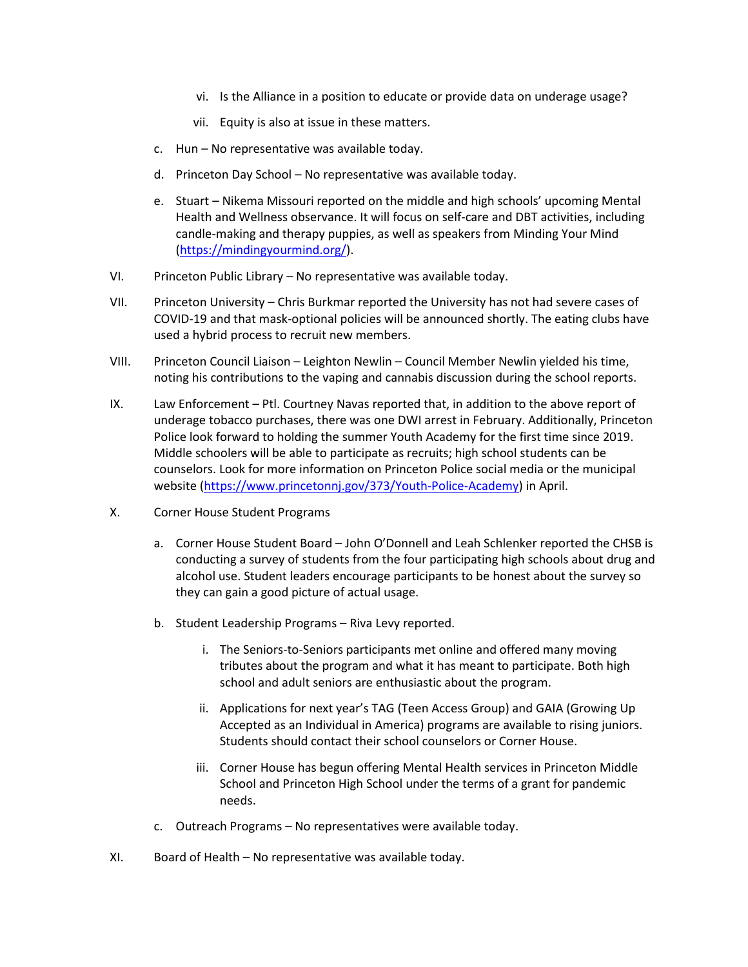- vi. Is the Alliance in a position to educate or provide data on underage usage?
- vii. Equity is also at issue in these matters.
- c. Hun No representative was available today.
- d. Princeton Day School No representative was available today.
- e. Stuart Nikema Missouri reported on the middle and high schools' upcoming Mental Health and Wellness observance. It will focus on self-care and DBT activities, including candle-making and therapy puppies, as well as speakers from Minding Your Mind [\(https://mindingyourmind.org/\)](https://mindingyourmind.org/).
- VI. Princeton Public Library No representative was available today.
- VII. Princeton University Chris Burkmar reported the University has not had severe cases of COVID-19 and that mask-optional policies will be announced shortly. The eating clubs have used a hybrid process to recruit new members.
- VIII. Princeton Council Liaison Leighton Newlin Council Member Newlin yielded his time, noting his contributions to the vaping and cannabis discussion during the school reports.
- IX. Law Enforcement Ptl. Courtney Navas reported that, in addition to the above report of underage tobacco purchases, there was one DWI arrest in February. Additionally, Princeton Police look forward to holding the summer Youth Academy for the first time since 2019. Middle schoolers will be able to participate as recruits; high school students can be counselors. Look for more information on Princeton Police social media or the municipal website [\(https://www.princetonnj.gov/373/Youth-Police-Academy\)](https://www.princetonnj.gov/373/Youth-Police-Academy) in April.
- X. Corner House Student Programs
	- a. Corner House Student Board John O'Donnell and Leah Schlenker reported the CHSB is conducting a survey of students from the four participating high schools about drug and alcohol use. Student leaders encourage participants to be honest about the survey so they can gain a good picture of actual usage.
	- b. Student Leadership Programs Riva Levy reported.
		- i. The Seniors-to-Seniors participants met online and offered many moving tributes about the program and what it has meant to participate. Both high school and adult seniors are enthusiastic about the program.
		- ii. Applications for next year's TAG (Teen Access Group) and GAIA (Growing Up Accepted as an Individual in America) programs are available to rising juniors. Students should contact their school counselors or Corner House.
		- iii. Corner House has begun offering Mental Health services in Princeton Middle School and Princeton High School under the terms of a grant for pandemic needs.
	- c. Outreach Programs No representatives were available today.
- XI. Board of Health No representative was available today.